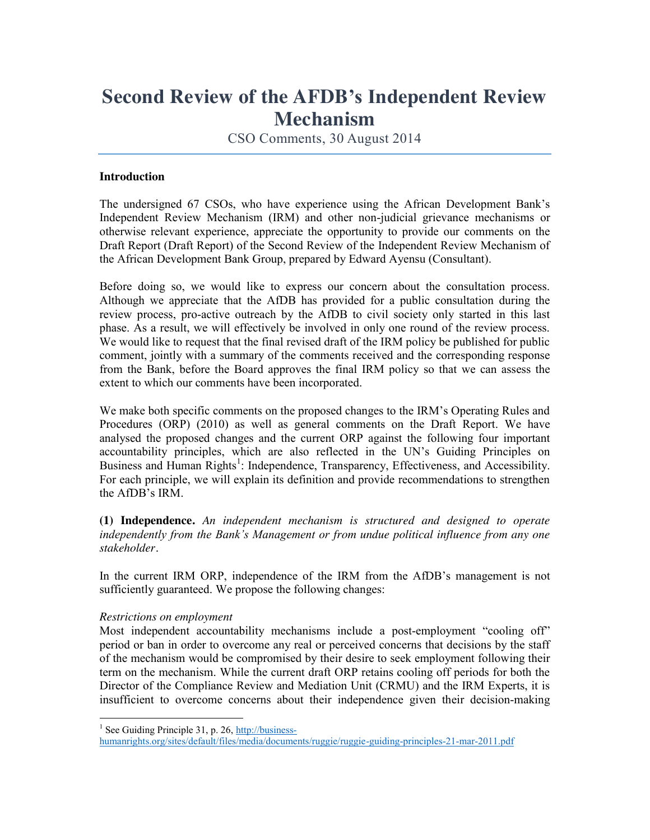## **Second Review of the AFDB's Independent Review Mechanism**

CSO Comments, 30 August 2014

## **Introduction**

The undersigned 67 CSOs, who have experience using the African Development Bank's Independent Review Mechanism (IRM) and other non-judicial grievance mechanisms or otherwise relevant experience, appreciate the opportunity to provide our comments on the Draft Report (Draft Report) of the Second Review of the Independent Review Mechanism of the African Development Bank Group, prepared by Edward Ayensu (Consultant).

Before doing so, we would like to express our concern about the consultation process. Although we appreciate that the AfDB has provided for a public consultation during the review process, pro-active outreach by the AfDB to civil society only started in this last phase. As a result, we will effectively be involved in only one round of the review process. We would like to request that the final revised draft of the IRM policy be published for public comment, jointly with a summary of the comments received and the corresponding response from the Bank, before the Board approves the final IRM policy so that we can assess the extent to which our comments have been incorporated.

We make both specific comments on the proposed changes to the IRM's Operating Rules and Procedures (ORP) (2010) as well as general comments on the Draft Report. We have analysed the proposed changes and the current ORP against the following four important accountability principles, which are also reflected in the UN's Guiding Principles on Business and Human Rights<sup>1</sup>: Independence, Transparency, Effectiveness, and Accessibility. For each principle, we will explain its definition and provide recommendations to strengthen the AfDB's IRM.

**(1) Independence.** *An independent mechanism is structured and designed to operate independently from the Bank's Management or from undue political influence from any one stakeholder.*

In the current IRM ORP, independence of the IRM from the AfDB's management is not sufficiently guaranteed. We propose the following changes:

## *Restrictions on employment*

Most independent accountability mechanisms include a post-employment "cooling off" period or ban in order to overcome any real or perceived concerns that decisions by the staff of the mechanism would be compromised by their desire to seek employment following their term on the mechanism. While the current draft ORP retains cooling off periods for both the Director of the Compliance Review and Mediation Unit (CRMU) and the IRM Experts, it is insufficient to overcome concerns about their independence given their decision-making

<sup>&</sup>lt;sup>1</sup> See Guiding Principle 31, p. 26, http://business-

humanrights.org/sites/default/files/media/documents/ruggie/ruggie-guiding-principles-21-mar-2011.pdf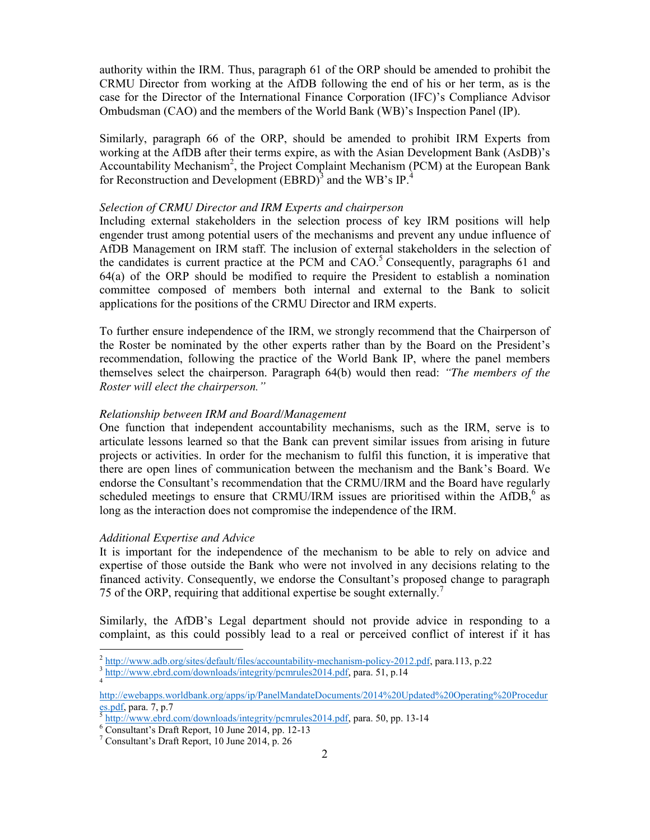authority within the IRM. Thus, paragraph 61 of the ORP should be amended to prohibit the CRMU Director from working at the AfDB following the end of his or her term, as is the case for the Director of the International Finance Corporation (IFC)'s Compliance Advisor Ombudsman (CAO) and the members of the World Bank (WB)'s Inspection Panel (IP).

Similarly, paragraph 66 of the ORP, should be amended to prohibit IRM Experts from working at the AfDB after their terms expire, as with the Asian Development Bank (AsDB)'s Accountability Mechanism<sup>2</sup>, the Project Complaint Mechanism (PCM) at the European Bank for Reconstruction and Development  $(BBD)^3$  and the WB's IP.<sup>4</sup>

#### *Selection of CRMU Director and IRM Experts and chairperson*

Including external stakeholders in the selection process of key IRM positions will help engender trust among potential users of the mechanisms and prevent any undue influence of AfDB Management on IRM staff. The inclusion of external stakeholders in the selection of the candidates is current practice at the PCM and  $CAO$ <sup>5</sup> Consequently, paragraphs 61 and 64(a) of the ORP should be modified to require the President to establish a nomination committee composed of members both internal and external to the Bank to solicit applications for the positions of the CRMU Director and IRM experts.

To further ensure independence of the IRM, we strongly recommend that the Chairperson of the Roster be nominated by the other experts rather than by the Board on the President's recommendation, following the practice of the World Bank IP, where the panel members themselves select the chairperson. Paragraph 64(b) would then read: *"The members of the Roster will elect the chairperson."* 

#### *Relationship between IRM and Board/Management*

One function that independent accountability mechanisms, such as the IRM, serve is to articulate lessons learned so that the Bank can prevent similar issues from arising in future projects or activities. In order for the mechanism to fulfil this function, it is imperative that there are open lines of communication between the mechanism and the Bank's Board. We endorse the Consultant's recommendation that the CRMU/IRM and the Board have regularly scheduled meetings to ensure that CRMU/IRM issues are prioritised within the  $AfDB$ , as long as the interaction does not compromise the independence of the IRM.

#### *Additional Expertise and Advice*

It is important for the independence of the mechanism to be able to rely on advice and expertise of those outside the Bank who were not involved in any decisions relating to the financed activity. Consequently, we endorse the Consultant's proposed change to paragraph 75 of the ORP, requiring that additional expertise be sought externally.<sup>7</sup>

Similarly, the AfDB's Legal department should not provide advice in responding to a complaint, as this could possibly lead to a real or perceived conflict of interest if it has

 $\frac{2 \text{ http://www.adb.org/sites/default/files/accountability-mechanism-policy-2012.pdf}}{3 \text{ http://www.ebrd.com/downloads/integrity/permules2014.pdf}, \text{para. 51, p.14}}$ 

http://ewebapps.worldbank.org/apps/ip/PanelMandateDocuments/2014%20Updated%20Operating%20Procedur es.pdf, para. 7, p.7<br>  $\frac{5 \text{ http://www.ebrd.com/downloads/integrity/perm rules2014.pdf}}{6 \text{ Consultant's Draft Report, 10 June 2014, pp. 12-13}}$ <br>  $\frac{7 \text{ Consultant's Draft Report, 10 June 2014, p. 26}}{2 \text{ thousand.}}$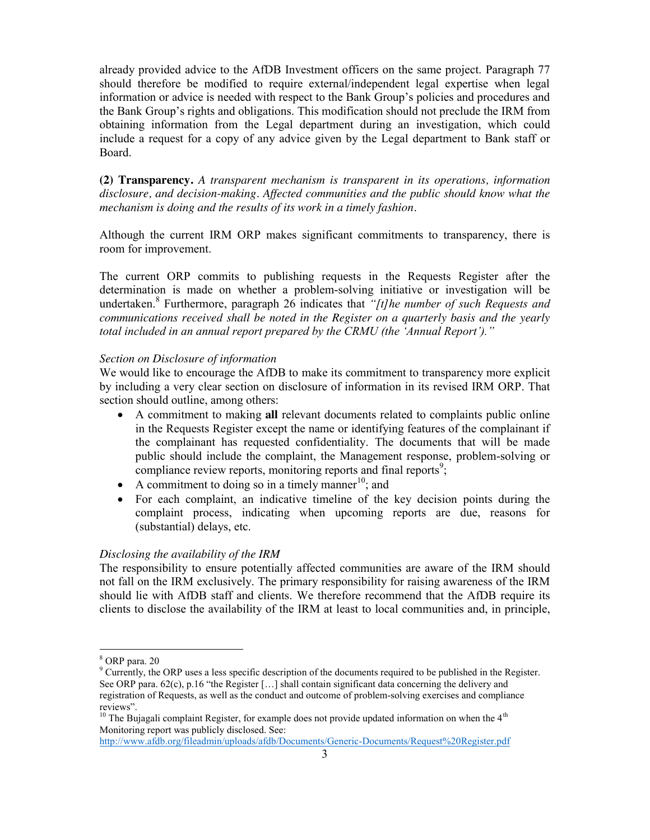already provided advice to the AfDB Investment officers on the same project. Paragraph 77 should therefore be modified to require external/independent legal expertise when legal information or advice is needed with respect to the Bank Group's policies and procedures and the Bank Group's rights and obligations. This modification should not preclude the IRM from obtaining information from the Legal department during an investigation, which could include a request for a copy of any advice given by the Legal department to Bank staff or Board.

**(2) Transparency.** *A transparent mechanism is transparent in its operations, information disclosure, and decision-making. Affected communities and the public should know what the mechanism is doing and the results of its work in a timely fashion.*

Although the current IRM ORP makes significant commitments to transparency, there is room for improvement.

The current ORP commits to publishing requests in the Requests Register after the determination is made on whether a problem-solving initiative or investigation will be undertaken. <sup>8</sup> Furthermore, paragraph 26 indicates that *"[t]he number of such Requests and communications received shall be noted in the Register on a quarterly basis and the yearly total included in an annual report prepared by the CRMU (the 'Annual Report')."*

#### *Section on Disclosure of information*

We would like to encourage the AfDB to make its commitment to transparency more explicit by including a very clear section on disclosure of information in its revised IRM ORP. That section should outline, among others:

- x A commitment to making **all** relevant documents related to complaints public online in the Requests Register except the name or identifying features of the complainant if the complainant has requested confidentiality. The documents that will be made public should include the complaint, the Management response, problem-solving or compliance review reports, monitoring reports and final reports<sup>9</sup>;
- A commitment to doing so in a timely manner<sup>10</sup>; and
- For each complaint, an indicative timeline of the key decision points during the complaint process, indicating when upcoming reports are due, reasons for (substantial) delays, etc.

#### *Disclosing the availability of the IRM*

The responsibility to ensure potentially affected communities are aware of the IRM should not fall on the IRM exclusively. The primary responsibility for raising awareness of the IRM should lie with AfDB staff and clients. We therefore recommend that the AfDB require its clients to disclose the availability of the IRM at least to local communities and, in principle,

http://www.afdb.org/fileadmin/uploads/afdb/Documents/Generic-Documents/Request%20Register.pdf

 $8$  ORP para. 20<br> $9$  Currently, the ORP uses a less specific description of the documents required to be published in the Register. See ORP para. 62(c), p.16 "the Register […] shall contain significant data concerning the delivery and registration of Requests, as well as the conduct and outcome of problem-solving exercises and compliance reviews".

<sup>&</sup>lt;sup>10</sup> The Bujagali complaint Register, for example does not provide updated information on when the  $4<sup>th</sup>$ Monitoring report was publicly disclosed. See: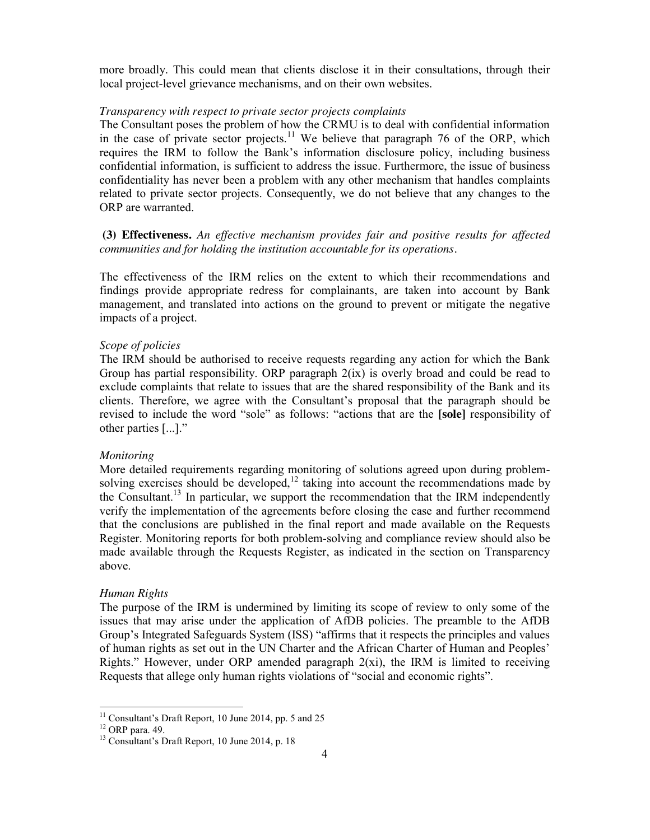more broadly. This could mean that clients disclose it in their consultations, through their local project-level grievance mechanisms, and on their own websites.

#### *Transparency with respect to private sector projects complaints*

The Consultant poses the problem of how the CRMU is to deal with confidential information in the case of private sector projects.<sup>11</sup> We believe that paragraph 76 of the ORP, which requires the IRM to follow the Bank's information disclosure policy, including business confidential information, is sufficient to address the issue. Furthermore, the issue of business confidentiality has never been a problem with any other mechanism that handles complaints related to private sector projects. Consequently, we do not believe that any changes to the ORP are warranted.

## **(3) Effectiveness.** *An effective mechanism provides fair and positive results for affected communities and for holding the institution accountable for its operations.*

The effectiveness of the IRM relies on the extent to which their recommendations and findings provide appropriate redress for complainants, are taken into account by Bank management, and translated into actions on the ground to prevent or mitigate the negative impacts of a project.

## *Scope of policies*

The IRM should be authorised to receive requests regarding any action for which the Bank Group has partial responsibility. ORP paragraph 2(ix) is overly broad and could be read to exclude complaints that relate to issues that are the shared responsibility of the Bank and its clients. Therefore, we agree with the Consultant's proposal that the paragraph should be revised to include the word "sole" as follows: "actions that are the **[sole]** responsibility of other parties [...]."

#### *Monitoring*

More detailed requirements regarding monitoring of solutions agreed upon during problemsolving exercises should be developed,<sup>12</sup> taking into account the recommendations made by the Consultant.13 In particular, we support the recommendation that the IRM independently verify the implementation of the agreements before closing the case and further recommend that the conclusions are published in the final report and made available on the Requests Register. Monitoring reports for both problem-solving and compliance review should also be made available through the Requests Register, as indicated in the section on Transparency above.

#### *Human Rights*

The purpose of the IRM is undermined by limiting its scope of review to only some of the issues that may arise under the application of AfDB policies. The preamble to the AfDB Group's Integrated Safeguards System (ISS) "affirms that it respects the principles and values of human rights as set out in the UN Charter and the African Charter of Human and Peoples' Rights." However, under ORP amended paragraph 2(xi), the IRM is limited to receiving Requests that allege only human rights violations of "social and economic rights".

<sup>&</sup>lt;sup>11</sup> Consultant's Draft Report, 10 June 2014, pp. 5 and 25<br><sup>12</sup> ORP para. 49. <sup>13</sup> Consultant's Draft Report, 10 June 2014, p. 18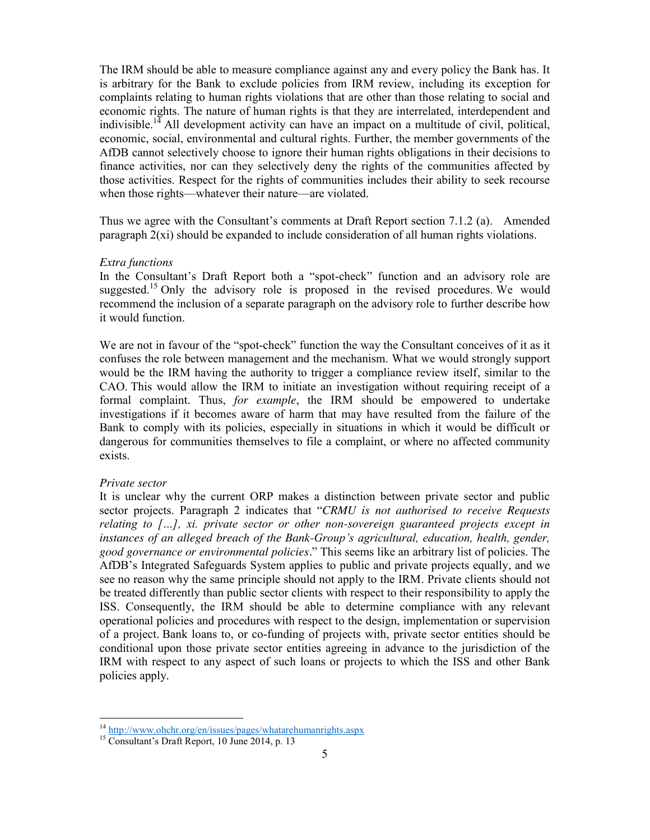The IRM should be able to measure compliance against any and every policy the Bank has. It is arbitrary for the Bank to exclude policies from IRM review, including its exception for complaints relating to human rights violations that are other than those relating to social and economic rights. The nature of human rights is that they are interrelated, interdependent and indivisible.<sup>14</sup> All development activity can have an impact on a multitude of civil, political, economic, social, environmental and cultural rights. Further, the member governments of the AfDB cannot selectively choose to ignore their human rights obligations in their decisions to finance activities, nor can they selectively deny the rights of the communities affected by those activities. Respect for the rights of communities includes their ability to seek recourse when those rights—whatever their nature—are violated.

Thus we agree with the Consultant's comments at Draft Report section 7.1.2 (a). Amended paragraph  $2(xi)$  should be expanded to include consideration of all human rights violations.

#### *Extra functions*

In the Consultant's Draft Report both a "spot-check" function and an advisory role are suggested.<sup>15</sup> Only the advisory role is proposed in the revised procedures. We would recommend the inclusion of a separate paragraph on the advisory role to further describe how it would function.

We are not in favour of the "spot-check" function the way the Consultant conceives of it as it confuses the role between management and the mechanism. What we would strongly support would be the IRM having the authority to trigger a compliance review itself, similar to the CAO. This would allow the IRM to initiate an investigation without requiring receipt of a formal complaint. Thus, *for example*, the IRM should be empowered to undertake investigations if it becomes aware of harm that may have resulted from the failure of the Bank to comply with its policies, especially in situations in which it would be difficult or dangerous for communities themselves to file a complaint, or where no affected community exists.

#### *Private sector*

It is unclear why the current ORP makes a distinction between private sector and public sector projects. Paragraph 2 indicates that "*CRMU is not authorised to receive Requests relating to […], xi. private sector or other non-sovereign guaranteed projects except in instances of an alleged breach of the Bank-Group's agricultural, education, health, gender, good governance or environmental policies.*" This seems like an arbitrary list of policies. The AfDB's Integrated Safeguards System applies to public and private projects equally, and we see no reason why the same principle should not apply to the IRM. Private clients should not be treated differently than public sector clients with respect to their responsibility to apply the ISS. Consequently, the IRM should be able to determine compliance with any relevant operational policies and procedures with respect to the design, implementation or supervision of a project. Bank loans to, or co-funding of projects with, private sector entities should be conditional upon those private sector entities agreeing in advance to the jurisdiction of the IRM with respect to any aspect of such loans or projects to which the ISS and other Bank policies apply.

<sup>&</sup>lt;sup>14</sup> http://www.ohchr.org/en/issues/pages/whatarehumanrights.aspx 15 Consultant's Draft Report, 10 June 2014, p. 13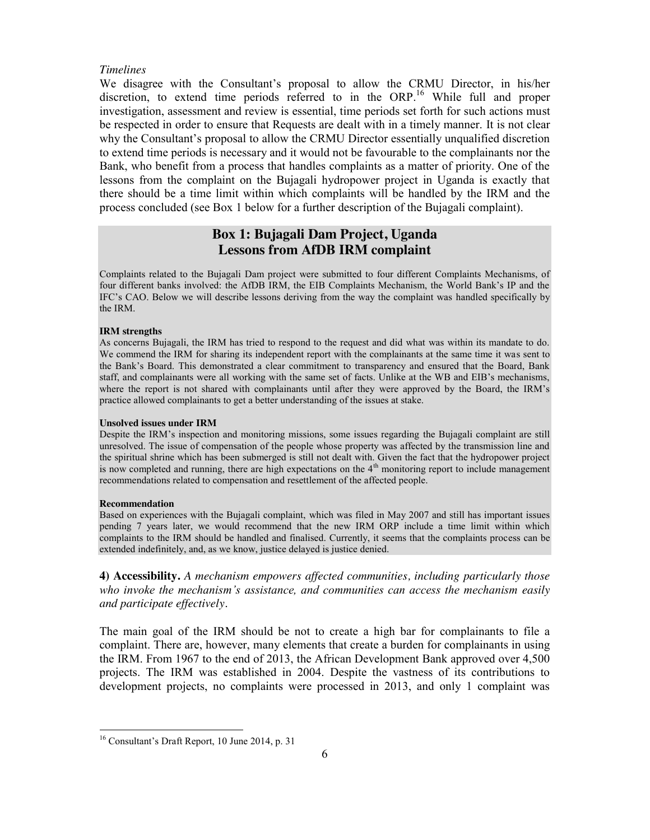#### *Timelines*

We disagree with the Consultant's proposal to allow the CRMU Director, in his/her discretion, to extend time periods referred to in the ORP. <sup>16</sup> While full and proper investigation, assessment and review is essential, time periods set forth for such actions must be respected in order to ensure that Requests are dealt with in a timely manner. It is not clear why the Consultant's proposal to allow the CRMU Director essentially unqualified discretion to extend time periods is necessary and it would not be favourable to the complainants nor the Bank, who benefit from a process that handles complaints as a matter of priority. One of the lessons from the complaint on the Bujagali hydropower project in Uganda is exactly that there should be a time limit within which complaints will be handled by the IRM and the process concluded (see Box 1 below for a further description of the Bujagali complaint).

## **Box 1: Bujagali Dam Project, Uganda Lessons from AfDB IRM complaint**

Complaints related to the Bujagali Dam project were submitted to four different Complaints Mechanisms, of four different banks involved: the AfDB IRM, the EIB Complaints Mechanism, the World Bank's IP and the IFC's CAO. Below we will describe lessons deriving from the way the complaint was handled specifically by the IRM.

#### **IRM strengths**

As concerns Bujagali, the IRM has tried to respond to the request and did what was within its mandate to do. We commend the IRM for sharing its independent report with the complainants at the same time it was sent to the Bank's Board. This demonstrated a clear commitment to transparency and ensured that the Board, Bank staff, and complainants were all working with the same set of facts. Unlike at the WB and EIB's mechanisms, where the report is not shared with complainants until after they were approved by the Board, the IRM's practice allowed complainants to get a better understanding of the issues at stake.

#### **Unsolved issues under IRM**

Despite the IRM's inspection and monitoring missions, some issues regarding the Bujagali complaint are still unresolved. The issue of compensation of the people whose property was affected by the transmission line and the spiritual shrine which has been submerged is still not dealt with. Given the fact that the hydropower project is now completed and running, there are high expectations on the 4<sup>th</sup> monitoring report to include management recommendations related to compensation and resettlement of the affected people.

#### **Recommendation**

Based on experiences with the Bujagali complaint, which was filed in May 2007 and still has important issues pending 7 years later, we would recommend that the new IRM ORP include a time limit within which complaints to the IRM should be handled and finalised. Currently, it seems that the complaints process can be extended indefinitely, and, as we know, justice delayed is justice denied.

**4) Accessibility.** *A mechanism empowers affected communities, including particularly those who invoke the mechanism's assistance, and communities can access the mechanism easily and participate effectively.*

The main goal of the IRM should be not to create a high bar for complainants to file a complaint. There are, however, many elements that create a burden for complainants in using the IRM. From 1967 to the end of 2013, the African Development Bank approved over 4,500 projects. The IRM was established in 2004. Despite the vastness of its contributions to development projects, no complaints were processed in 2013, and only 1 complaint was

 <sup>16</sup> Consultant's Draft Report, 10 June 2014, p. 31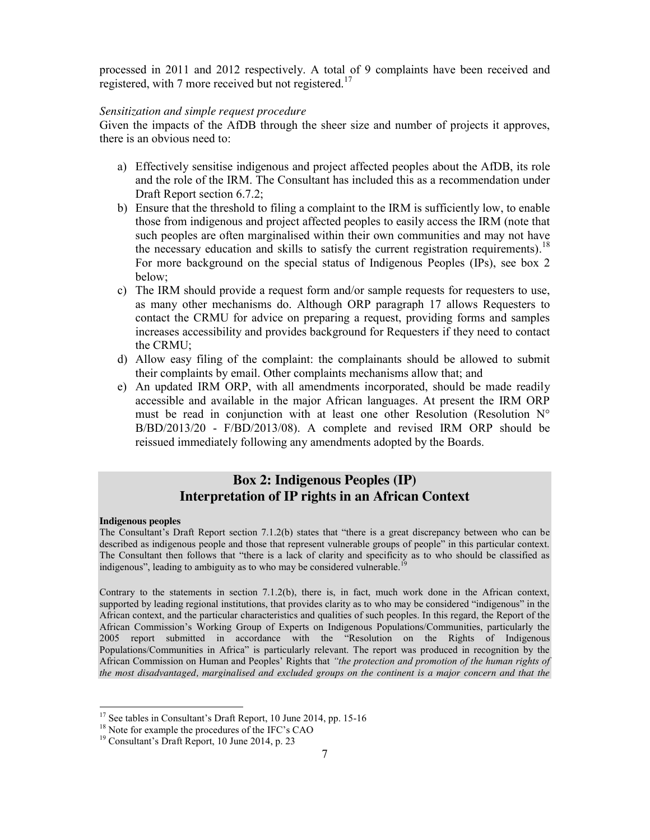processed in 2011 and 2012 respectively. A total of 9 complaints have been received and registered, with 7 more received but not registered.<sup>17</sup>

## *Sensitization and simple request procedure*

Given the impacts of the AfDB through the sheer size and number of projects it approves, there is an obvious need to:

- a) Effectively sensitise indigenous and project affected peoples about the AfDB, its role and the role of the IRM. The Consultant has included this as a recommendation under Draft Report section 6.7.2;
- b) Ensure that the threshold to filing a complaint to the IRM is sufficiently low, to enable those from indigenous and project affected peoples to easily access the IRM (note that such peoples are often marginalised within their own communities and may not have the necessary education and skills to satisfy the current registration requirements).<sup>18</sup> For more background on the special status of Indigenous Peoples (IPs), see box 2 below;
- c) The IRM should provide a request form and/or sample requests for requesters to use, as many other mechanisms do. Although ORP paragraph 17 allows Requesters to contact the CRMU for advice on preparing a request, providing forms and samples increases accessibility and provides background for Requesters if they need to contact the CRMU;
- d) Allow easy filing of the complaint: the complainants should be allowed to submit their complaints by email. Other complaints mechanisms allow that; and
- e) An updated IRM ORP, with all amendments incorporated, should be made readily accessible and available in the major African languages. At present the IRM ORP must be read in conjunction with at least one other Resolution (Resolution N° B/BD/2013/20 - F/BD/2013/08). A complete and revised IRM ORP should be reissued immediately following any amendments adopted by the Boards.

## **Box 2: Indigenous Peoples (IP) Interpretation of IP rights in an African Context**

#### **Indigenous peoples**

The Consultant's Draft Report section 7.1.2(b) states that "there is a great discrepancy between who can be described as indigenous people and those that represent vulnerable groups of people" in this particular context. The Consultant then follows that "there is a lack of clarity and specificity as to who should be classified as indigenous", leading to ambiguity as to who may be considered vulnerable.

Contrary to the statements in section 7.1.2(b), there is, in fact, much work done in the African context, supported by leading regional institutions, that provides clarity as to who may be considered "indigenous" in the African context, and the particular characteristics and qualities of such peoples. In this regard, the Report of the African Commission's Working Group of Experts on Indigenous Populations/Communities, particularly the 2005 report submitted in accordance with the "Resolution on the Rights of Indigenous Populations/Communities in Africa" is particularly relevant. The report was produced in recognition by the African Commission on Human and Peoples' Rights that *"the protection and promotion of the human rights of the most disadvantaged, marginalised and excluded groups on the continent is a major concern and that the* 

<sup>&</sup>lt;sup>17</sup> See tables in Consultant's Draft Report, 10 June 2014, pp. 15-16<br><sup>18</sup> Note for example the procedures of the IFC's CAO<br><sup>19</sup> Consultant's Draft Report, 10 June 2014, p. 23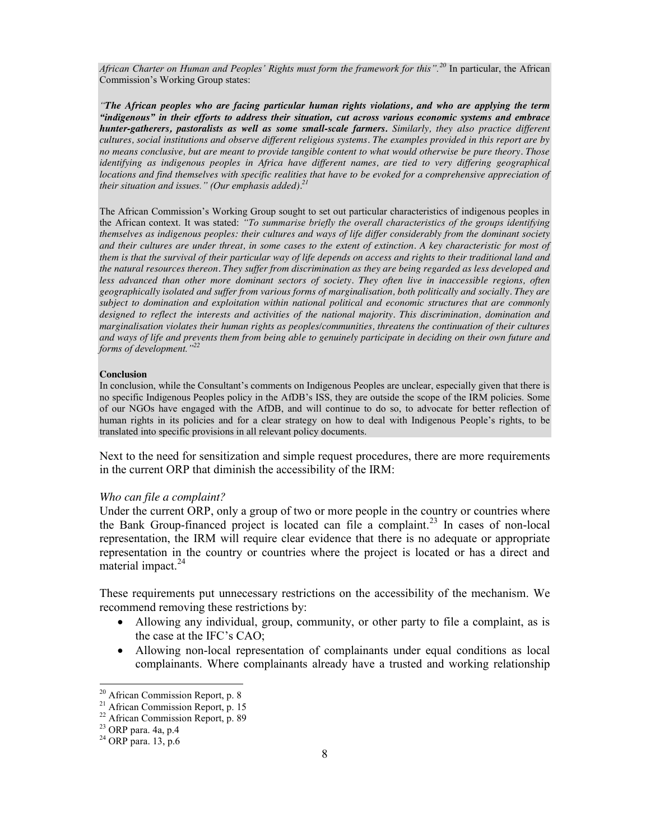*African Charter on Human and Peoples' Rights must form the framework for this".<sup>20</sup>* In particular, the African Commission's Working Group states:

*"The African peoples who are facing particular human rights violations, and who are applying the term "indigenous" in their efforts to address their situation, cut across various economic systems and embrace hunter-gatherers, pastoralists as well as some small-scale farmers. Similarly, they also practice different cultures, social institutions and observe different religious systems. The examples provided in this report are by no means conclusive, but are meant to provide tangible content to what would otherwise be pure theory. Those identifying as indigenous peoples in Africa have different names, are tied to very differing geographical locations and find themselves with specific realities that have to be evoked for a comprehensive appreciation of their situation and issues." (Our emphasis added).21*

The African Commission's Working Group sought to set out particular characteristics of indigenous peoples in the African context. It was stated: *"To summarise briefly the overall characteristics of the groups identifying themselves as indigenous peoples: their cultures and ways of life differ considerably from the dominant society*  and their cultures are under threat, in some cases to the extent of extinction. A key characteristic for most of *them is that the survival of their particular way of life depends on access and rights to their traditional land and the natural resources thereon. They suffer from discrimination as they are being regarded as less developed and*  less advanced than other more dominant sectors of society. They often live in inaccessible regions, often *geographically isolated and suffer from various forms of marginalisation, both politically and socially. They are subject to domination and exploitation within national political and economic structures that are commonly designed to reflect the interests and activities of the national majority. This discrimination, domination and marginalisation violates their human rights as peoples/communities, threatens the continuation of their cultures and ways of life and prevents them from being able to genuinely participate in deciding on their own future and forms of development."<sup>22</sup>*

#### **Conclusion**

In conclusion, while the Consultant's comments on Indigenous Peoples are unclear, especially given that there is no specific Indigenous Peoples policy in the AfDB's ISS, they are outside the scope of the IRM policies. Some of our NGOs have engaged with the AfDB, and will continue to do so, to advocate for better reflection of human rights in its policies and for a clear strategy on how to deal with Indigenous People's rights, to be translated into specific provisions in all relevant policy documents.

Next to the need for sensitization and simple request procedures, there are more requirements in the current ORP that diminish the accessibility of the IRM:

#### *Who can file a complaint?*

Under the current ORP, only a group of two or more people in the country or countries where the Bank Group-financed project is located can file a complaint.<sup>23</sup> In cases of non-local representation, the IRM will require clear evidence that there is no adequate or appropriate representation in the country or countries where the project is located or has a direct and material impact.<sup>24</sup>

These requirements put unnecessary restrictions on the accessibility of the mechanism. We recommend removing these restrictions by:

- Allowing any individual, group, community, or other party to file a complaint, as is the case at the IFC's CAO;
- Allowing non-local representation of complainants under equal conditions as local complainants. Where complainants already have a trusted and working relationship

<sup>&</sup>lt;sup>20</sup> African Commission Report, p. 8<br><sup>21</sup> African Commission Report, p. 15<br><sup>22</sup> African Commission Report, p. 89<br><sup>23</sup> ORP para. 4a, p.4<br><sup>24</sup> ORP para. 13, p.6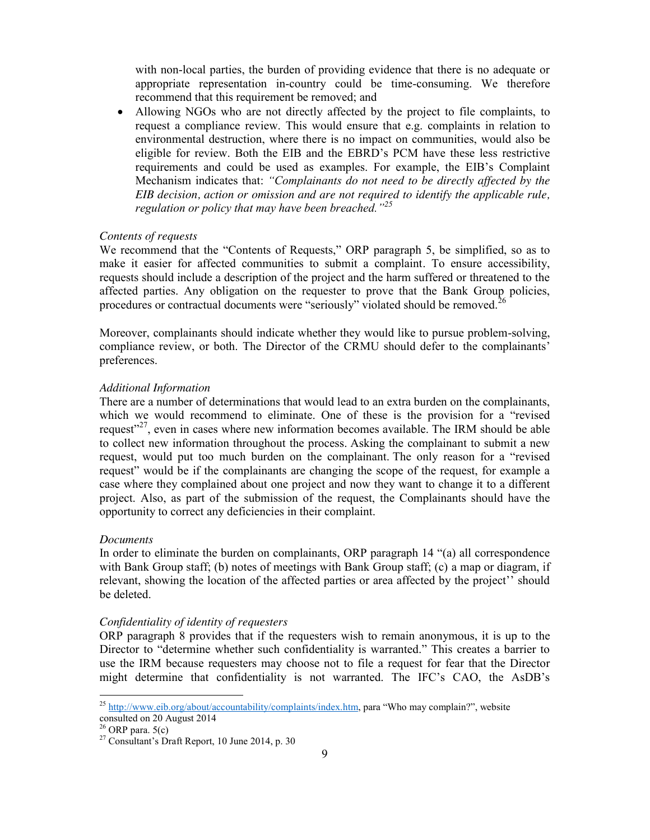with non-local parties, the burden of providing evidence that there is no adequate or appropriate representation in-country could be time-consuming. We therefore recommend that this requirement be removed; and

• Allowing NGOs who are not directly affected by the project to file complaints, to request a compliance review. This would ensure that e.g. complaints in relation to environmental destruction, where there is no impact on communities, would also be eligible for review. Both the EIB and the EBRD's PCM have these less restrictive requirements and could be used as examples. For example, the EIB's Complaint Mechanism indicates that: *"Complainants do not need to be directly affected by the EIB decision, action or omission and are not required to identify the applicable rule, regulation or policy that may have been breached."<sup>25</sup>*

## *Contents of requests*

We recommend that the "Contents of Requests," ORP paragraph 5, be simplified, so as to make it easier for affected communities to submit a complaint. To ensure accessibility, requests should include a description of the project and the harm suffered or threatened to the affected parties. Any obligation on the requester to prove that the Bank Group policies, procedures or contractual documents were "seriously" violated should be removed.<sup>2</sup>

Moreover, complainants should indicate whether they would like to pursue problem-solving, compliance review, or both. The Director of the CRMU should defer to the complainants' preferences.

#### *Additional Information*

There are a number of determinations that would lead to an extra burden on the complainants, which we would recommend to eliminate. One of these is the provision for a "revised request $1^{27}$ , even in cases where new information becomes available. The IRM should be able to collect new information throughout the process. Asking the complainant to submit a new request, would put too much burden on the complainant. The only reason for a "revised request" would be if the complainants are changing the scope of the request, for example a case where they complained about one project and now they want to change it to a different project. Also, as part of the submission of the request, the Complainants should have the opportunity to correct any deficiencies in their complaint.

#### *Documents*

In order to eliminate the burden on complainants, ORP paragraph 14 "(a) all correspondence with Bank Group staff; (b) notes of meetings with Bank Group staff; (c) a map or diagram, if relevant, showing the location of the affected parties or area affected by the project'' should be deleted.

#### *Confidentiality of identity of requesters*

ORP paragraph 8 provides that if the requesters wish to remain anonymous, it is up to the Director to "determine whether such confidentiality is warranted." This creates a barrier to use the IRM because requesters may choose not to file a request for fear that the Director might determine that confidentiality is not warranted. The IFC's CAO, the AsDB's

<sup>&</sup>lt;sup>25</sup> http://www.eib.org/about/accountability/complaints/index.htm, para "Who may complain?", website

consulted on 20 August 2014<br><sup>26</sup> ORP para. 5(c)

 $27$  Consultant's Draft Report, 10 June 2014, p. 30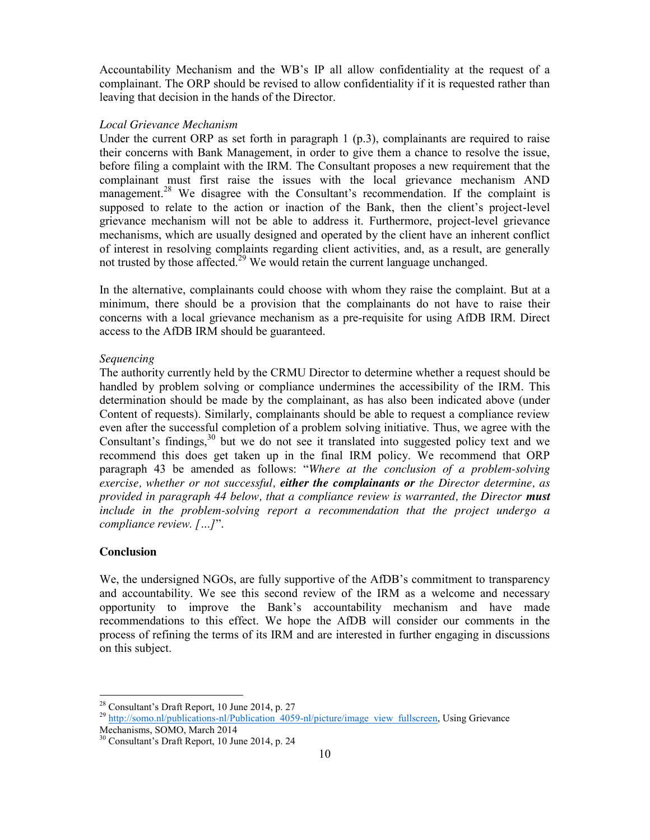Accountability Mechanism and the WB's IP all allow confidentiality at the request of a complainant. The ORP should be revised to allow confidentiality if it is requested rather than leaving that decision in the hands of the Director.

#### *Local Grievance Mechanism*

Under the current ORP as set forth in paragraph 1 (p.3), complainants are required to raise their concerns with Bank Management, in order to give them a chance to resolve the issue, before filing a complaint with the IRM. The Consultant proposes a new requirement that the complainant must first raise the issues with the local grievance mechanism AND management.<sup>28</sup> We disagree with the Consultant's recommendation. If the complaint is supposed to relate to the action or inaction of the Bank, then the client's project-level grievance mechanism will not be able to address it. Furthermore, project-level grievance mechanisms, which are usually designed and operated by the client have an inherent conflict of interest in resolving complaints regarding client activities, and, as a result, are generally not trusted by those affected.<sup>29</sup> We would retain the current language unchanged.

In the alternative, complainants could choose with whom they raise the complaint. But at a minimum, there should be a provision that the complainants do not have to raise their concerns with a local grievance mechanism as a pre-requisite for using AfDB IRM. Direct access to the AfDB IRM should be guaranteed.

#### *Sequencing*

The authority currently held by the CRMU Director to determine whether a request should be handled by problem solving or compliance undermines the accessibility of the IRM. This determination should be made by the complainant, as has also been indicated above (under Content of requests). Similarly, complainants should be able to request a compliance review even after the successful completion of a problem solving initiative. Thus, we agree with the Consultant's findings,<sup>30</sup> but we do not see it translated into suggested policy text and we recommend this does get taken up in the final IRM policy. We recommend that ORP paragraph 43 be amended as follows: "*Where at the conclusion of a problem-solving exercise, whether or not successful, either the complainants or the Director determine, as provided in paragraph 44 below, that a compliance review is warranted, the Director must include in the problem-solving report a recommendation that the project undergo a compliance review. […]*".

### **Conclusion**

We, the undersigned NGOs, are fully supportive of the AfDB's commitment to transparency and accountability. We see this second review of the IRM as a welcome and necessary opportunity to improve the Bank's accountability mechanism and have made recommendations to this effect. We hope the AfDB will consider our comments in the process of refining the terms of its IRM and are interested in further engaging in discussions on this subject.

<sup>&</sup>lt;sup>28</sup> Consultant's Draft Report, 10 June 2014, p. 27<br><sup>29</sup> http://somo.nl/publications-nl/Publication 4059-nl/picture/image\_view\_fullscreen, Using Grievance Mechanisms, SOMO, March 2014

<sup>30</sup> Consultant's Draft Report, 10 June 2014, p. 24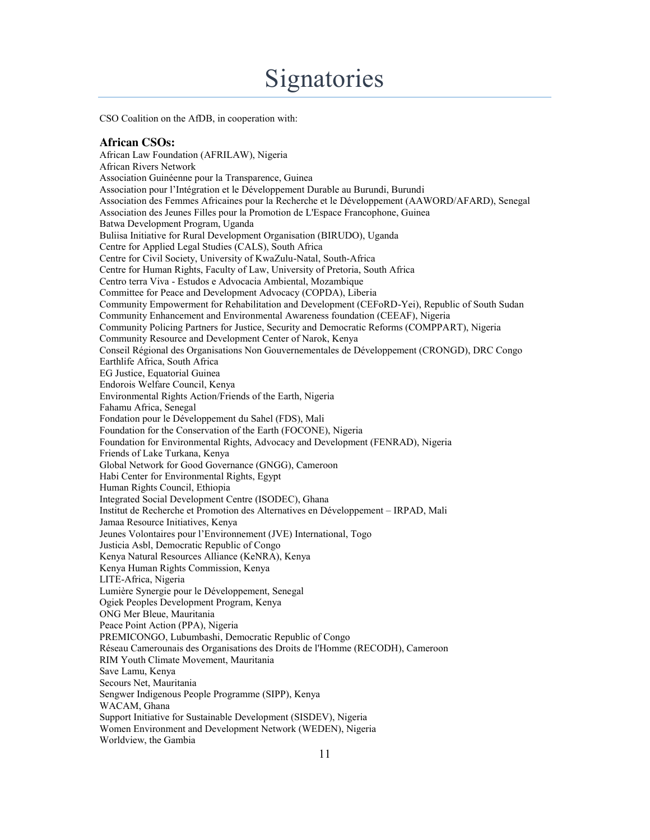# **Signatories**

CSO Coalition on the AfDB, in cooperation with:

#### **African CSOs:**

African Law Foundation (AFRILAW), Nigeria African Rivers Network Association Guinéenne pour la Transparence, Guinea Association pour l'Intégration et le Développement Durable au Burundi, Burundi Association des Femmes Africaines pour la Recherche et le Développement (AAWORD/AFARD), Senegal Association des Jeunes Filles pour la Promotion de L'Espace Francophone, Guinea Batwa Development Program, Uganda Buliisa Initiative for Rural Development Organisation (BIRUDO), Uganda Centre for Applied Legal Studies (CALS), South Africa Centre for Civil Society, University of KwaZulu-Natal, South-Africa Centre for Human Rights, Faculty of Law, University of Pretoria, South Africa Centro terra Viva - Estudos e Advocacia Ambiental, Mozambique Committee for Peace and Development Advocacy (COPDA), Liberia Community Empowerment for Rehabilitation and Development (CEFoRD-Yei), Republic of South Sudan Community Enhancement and Environmental Awareness foundation (CEEAF), Nigeria Community Policing Partners for Justice, Security and Democratic Reforms (COMPPART), Nigeria Community Resource and Development Center of Narok, Kenya Conseil Régional des Organisations Non Gouvernementales de Développement (CRONGD), DRC Congo Earthlife Africa, South Africa EG Justice, Equatorial Guinea Endorois Welfare Council, Kenya Environmental Rights Action/Friends of the Earth, Nigeria Fahamu Africa, Senegal Fondation pour le Développement du Sahel (FDS), Mali Foundation for the Conservation of the Earth (FOCONE), Nigeria Foundation for Environmental Rights, Advocacy and Development (FENRAD), Nigeria Friends of Lake Turkana, Kenya Global Network for Good Governance (GNGG), Cameroon Habi Center for Environmental Rights, Egypt Human Rights Council, Ethiopia Integrated Social Development Centre (ISODEC), Ghana Institut de Recherche et Promotion des Alternatives en Développement – IRPAD, Mali Jamaa Resource Initiatives, Kenya Jeunes Volontaires pour l'Environnement (JVE) International, Togo Justicia Asbl, Democratic Republic of Congo Kenya Natural Resources Alliance (KeNRA), Kenya Kenya Human Rights Commission, Kenya LITE-Africa, Nigeria Lumière Synergie pour le Développement, Senegal Ogiek Peoples Development Program, Kenya ONG Mer Bleue, Mauritania Peace Point Action (PPA), Nigeria PREMICONGO, Lubumbashi, Democratic Republic of Congo Réseau Camerounais des Organisations des Droits de l'Homme (RECODH), Cameroon RIM Youth Climate Movement, Mauritania Save Lamu, Kenya Secours Net, Mauritania Sengwer Indigenous People Programme (SIPP), Kenya WACAM, Ghana Support Initiative for Sustainable Development (SISDEV), Nigeria Women Environment and Development Network (WEDEN), Nigeria Worldview, the Gambia